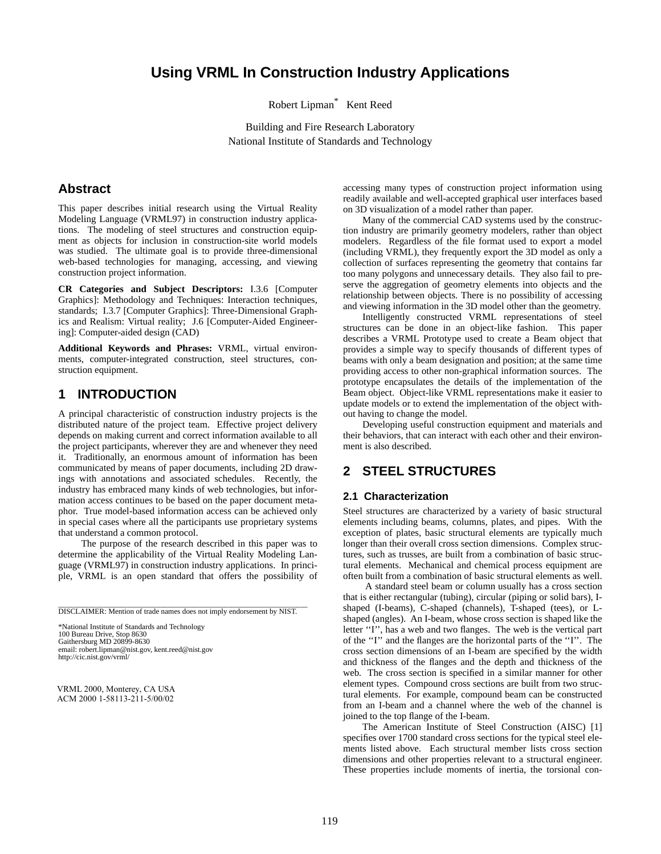# **Using VRML In Construction Industry Applications**

Robert Lipman\* Kent Reed

Building and Fire Research Laboratory National Institute of Standards and Technology

# **Abstract**

This paper describes initial research using the Virtual Reality Modeling Language (VRML97) in construction industry applications. The modeling of steel structures and construction equipment as objects for inclusion in construction-site world models was studied. The ultimate goal is to provide three-dimensional web-based technologies for managing, accessing, and viewing construction project information.

**CR Categories and Subject Descriptors:** I.3.6 [Computer Graphics]: Methodology and Techniques: Interaction techniques, standards; I.3.7 [Computer Graphics]: Three-Dimensional Graphics and Realism: Virtual reality; J.6 [Computer-Aided Engineering]: Computer-aided design (CAD)

**Additional Keywords and Phrases:** VRML, virtual environments, computer-integrated construction, steel structures, construction equipment.

### **1 INTRODUCTION**

A principal characteristic of construction industry projects is the distributed nature of the project team. Effective project delivery depends on making current and correct information available to all the project participants, wherever they are and whenever they need it. Traditionally, an enormous amount of information has been communicated by means of paper documents, including 2D drawings with annotations and associated schedules. Recently, the industry has embraced many kinds of web technologies, but information access continues to be based on the paper document metaphor. True model-based information access can be achieved only in special cases where all the participants use proprietary systems that understand a common protocol.

The purpose of the research described in this paper was to determine the applicability of the Virtual Reality Modeling Language (VRML97) in construction industry applications. In principle, VRML is an open standard that offers the possibility of

DISCLAIMER: Mention of trade names does not imply endorsement by NIST.

\*National Institute of Standards and Technology 100 Bureau Drive, Stop 8630 Gaithersburg MD 20899-8630 email: robert.lipman@nist.gov, kent.reed@nist.gov http://cic.nist.gov/vrml/

VRML 2000, Monterey, CA USA ACM 2000 1-58113-211-5/00/02 accessing many types of construction project information using readily available and well-accepted graphical user interfaces based on 3D visualization of a model rather than paper.

Many of the commercial CAD systems used by the construction industry are primarily geometry modelers, rather than object modelers. Regardless of the file format used to export a model (including VRML), they frequently export the 3D model as only a collection of surfaces representing the geometry that contains far too many polygons and unnecessary details. They also fail to preserve the aggregation of geometry elements into objects and the relationship between objects. There is no possibility of accessing and viewing information in the 3D model other than the geometry.

Intelligently constructed VRML representations of steel structures can be done in an object-like fashion. This paper describes a VRML Prototype used to create a Beam object that provides a simple way to specify thousands of different types of beams with only a beam designation and position; at the same time providing access to other non-graphical information sources. The prototype encapsulates the details of the implementation of the Beam object. Object-like VRML representations make it easier to update models or to extend the implementation of the object without having to change the model.

Developing useful construction equipment and materials and their behaviors, that can interact with each other and their environment is also described.

# **2 STEEL STRUCTURES**

#### **2.1 Characterization**

Steel structures are characterized by a variety of basic structural elements including beams, columns, plates, and pipes. With the exception of plates, basic structural elements are typically much longer than their overall cross section dimensions. Complex structures, such as trusses, are built from a combination of basic structural elements. Mechanical and chemical process equipment are often built from a combination of basic structural elements as well.

A standard steel beam or column usually has a cross section that is either rectangular (tubing), circular (piping or solid bars), Ishaped (I-beams), C-shaped (channels), T-shaped (tees), or Lshaped (angles). An I-beam, whose cross section is shaped like the letter ''I'', has a web and two flanges. The web is the vertical part of the ''I'' and the flanges are the horizontal parts of the ''I''. The cross section dimensions of an I-beam are specified by the width and thickness of the flanges and the depth and thickness of the web. The cross section is specified in a similar manner for other element types. Compound cross sections are built from two structural elements. For example, compound beam can be constructed from an I-beam and a channel where the web of the channel is joined to the top flange of the I-beam.

The American Institute of Steel Construction (AISC) [1] specifies over 1700 standard cross sections for the typical steel elements listed above. Each structural member lists cross section dimensions and other properties relevant to a structural engineer. These properties include moments of inertia, the torsional con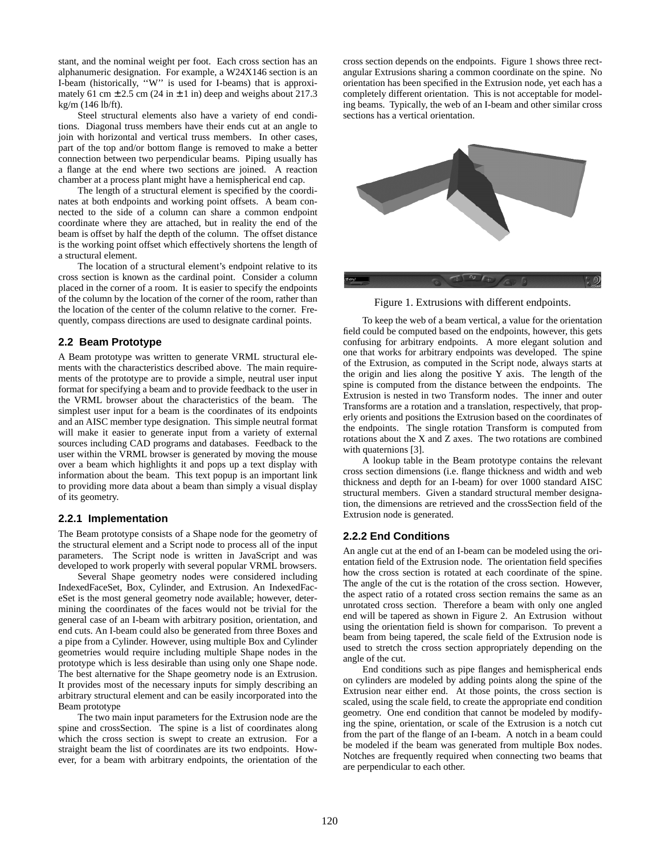stant, and the nominal weight per foot. Each cross section has an alphanumeric designation. For example, a W24X146 section is an I-beam (historically, ''W'' is used for I-beams) that is approximately 61 cm  $\pm$  2.5 cm (24 in  $\pm$  1 in) deep and weighs about 217.3 kg/m (146 lb/ft).

Steel structural elements also have a variety of end conditions. Diagonal truss members have their ends cut at an angle to join with horizontal and vertical truss members. In other cases, part of the top and/or bottom flange is removed to make a better connection between two perpendicular beams. Piping usually has a flange at the end where two sections are joined. A reaction chamber at a process plant might have a hemispherical end cap.

The length of a structural element is specified by the coordinates at both endpoints and working point offsets. A beam connected to the side of a column can share a common endpoint coordinate where they are attached, but in reality the end of the beam is offset by half the depth of the column. The offset distance is the working point offset which effectively shortens the length of a structural element.

The location of a structural element's endpoint relative to its cross section is known as the cardinal point. Consider a column placed in the corner of a room. It is easier to specify the endpoints of the column by the location of the corner of the room, rather than the location of the center of the column relative to the corner. Frequently, compass directions are used to designate cardinal points.

#### **2.2 Beam Prototype**

A Beam prototype was written to generate VRML structural elements with the characteristics described above. The main requirements of the prototype are to provide a simple, neutral user input format for specifying a beam and to provide feedback to the user in the VRML browser about the characteristics of the beam. The simplest user input for a beam is the coordinates of its endpoints and an AISC member type designation. This simple neutral format will make it easier to generate input from a variety of external sources including CAD programs and databases. Feedback to the user within the VRML browser is generated by moving the mouse over a beam which highlights it and pops up a text display with information about the beam. This text popup is an important link to providing more data about a beam than simply a visual display of its geometry.

#### **2.2.1 Implementation**

The Beam prototype consists of a Shape node for the geometry of the structural element and a Script node to process all of the input parameters. The Script node is written in JavaScript and was developed to work properly with several popular VRML browsers.

Several Shape geometry nodes were considered including IndexedFaceSet, Box, Cylinder, and Extrusion. An IndexedFaceSet is the most general geometry node available; however, determining the coordinates of the faces would not be trivial for the general case of an I-beam with arbitrary position, orientation, and end cuts. An I-beam could also be generated from three Boxes and a pipe from a Cylinder. However, using multiple Box and Cylinder geometries would require including multiple Shape nodes in the prototype which is less desirable than using only one Shape node. The best alternative for the Shape geometry node is an Extrusion. It provides most of the necessary inputs for simply describing an arbitrary structural element and can be easily incorporated into the Beam prototype

The two main input parameters for the Extrusion node are the spine and crossSection. The spine is a list of coordinates along which the cross section is swept to create an extrusion. For a straight beam the list of coordinates are its two endpoints. However, for a beam with arbitrary endpoints, the orientation of the cross section depends on the endpoints. Figure 1 shows three rectangular Extrusions sharing a common coordinate on the spine. No orientation has been specified in the Extrusion node, yet each has a completely different orientation. This is not acceptable for modeling beams. Typically, the web of an I-beam and other similar cross sections has a vertical orientation.



Figure 1. Extrusions with different endpoints.

To keep the web of a beam vertical, a value for the orientation field could be computed based on the endpoints, however, this gets confusing for arbitrary endpoints. A more elegant solution and one that works for arbitrary endpoints was developed. The spine of the Extrusion, as computed in the Script node, always starts at the origin and lies along the positive Y axis. The length of the spine is computed from the distance between the endpoints. The Extrusion is nested in two Transform nodes. The inner and outer Transforms are a rotation and a translation, respectively, that properly orients and positions the Extrusion based on the coordinates of the endpoints. The single rotation Transform is computed from rotations about the X and Z axes. The two rotations are combined with quaternions [3].

A lookup table in the Beam prototype contains the relevant cross section dimensions (i.e. flange thickness and width and web thickness and depth for an I-beam) for over 1000 standard AISC structural members. Given a standard structural member designation, the dimensions are retrieved and the crossSection field of the Extrusion node is generated.

#### **2.2.2 End Conditions**

An angle cut at the end of an I-beam can be modeled using the orientation field of the Extrusion node. The orientation field specifies how the cross section is rotated at each coordinate of the spine. The angle of the cut is the rotation of the cross section. However, the aspect ratio of a rotated cross section remains the same as an unrotated cross section. Therefore a beam with only one angled end will be tapered as shown in Figure 2. An Extrusion without using the orientation field is shown for comparison. To prevent a beam from being tapered, the scale field of the Extrusion node is used to stretch the cross section appropriately depending on the angle of the cut.

End conditions such as pipe flanges and hemispherical ends on cylinders are modeled by adding points along the spine of the Extrusion near either end. At those points, the cross section is scaled, using the scale field, to create the appropriate end condition geometry. One end condition that cannot be modeled by modifying the spine, orientation, or scale of the Extrusion is a notch cut from the part of the flange of an I-beam. A notch in a beam could be modeled if the beam was generated from multiple Box nodes. Notches are frequently required when connecting two beams that are perpendicular to each other.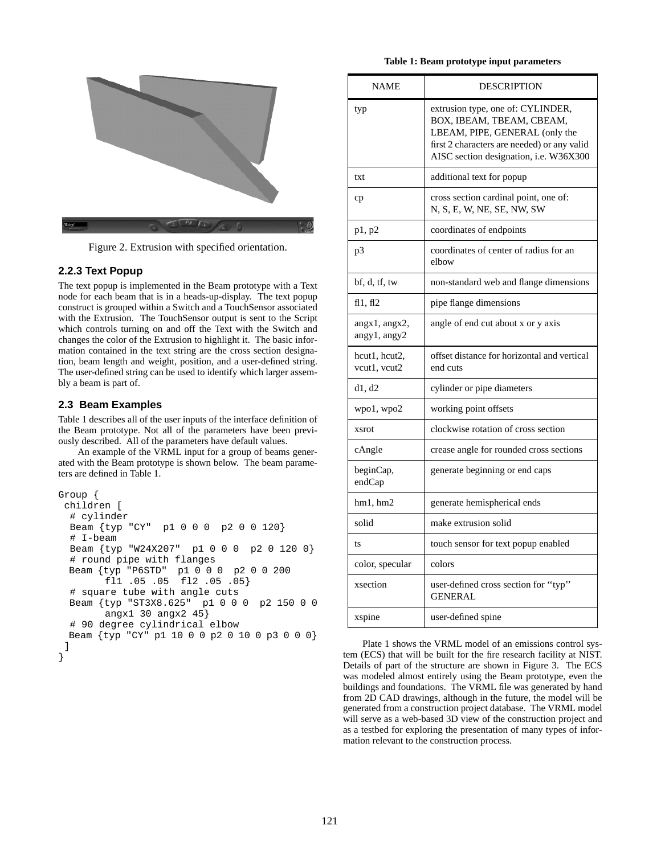

Figure 2. Extrusion with specified orientation.

### **2.2.3 Text Popup**

The text popup is implemented in the Beam prototype with a Text node for each beam that is in a heads-up-display. The text popup construct is grouped within a Switch and a TouchSensor associated with the Extrusion. The TouchSensor output is sent to the Script which controls turning on and off the Text with the Switch and changes the color of the Extrusion to highlight it. The basic information contained in the text string are the cross section designation, beam length and weight, position, and a user-defined string. The user-defined string can be used to identify which larger assembly a beam is part of.

# **2.3 Beam Examples**

Table 1 describes all of the user inputs of the interface definition of the Beam prototype. Not all of the parameters have been previously described. All of the parameters have default values.

An example of the VRML input for a group of beams generated with the Beam prototype is shown below. The beam parameters are defined in Table 1.

```
Group {
  children [
   # cylinder
   Beam {typ "CY" p1 0 0 0 p2 0 0 120}
   # I-beam
   Beam {typ "W24X207" p1 0 0 0 p2 0 120 0}
   # round pipe with flanges
 Beam {typ "P6STD" p1 0 0 0 p2 0 0 200
         fl1 .05 .05 fl2 .05 .05}
   # square tube with angle cuts
 Beam {typ "ST3X8.625" p1 0 0 0 p2 150 0 0
         angx1 30 angx2 45}
   # 90 degree cylindrical elbow
 Beam {typ "CY" p1 10 0 0 p2 0 10 0 p3 0 0 0}
  ]
}
```
#### **Table 1: Beam prototype input parameters**

| <b>NAME</b>                   | <b>DESCRIPTION</b>                                                                                                                                                                        |
|-------------------------------|-------------------------------------------------------------------------------------------------------------------------------------------------------------------------------------------|
| typ                           | extrusion type, one of: CYLINDER,<br>BOX, IBEAM, TBEAM, CBEAM,<br>LBEAM, PIPE, GENERAL (only the<br>first 2 characters are needed) or any valid<br>AISC section designation, i.e. W36X300 |
| txt                           | additional text for popup                                                                                                                                                                 |
| cp                            | cross section cardinal point, one of:<br>N, S, E, W, NE, SE, NW, SW                                                                                                                       |
| p1, p2                        | coordinates of endpoints                                                                                                                                                                  |
| p3                            | coordinates of center of radius for an<br>elbow                                                                                                                                           |
| bf, d, tf, tw                 | non-standard web and flange dimensions                                                                                                                                                    |
| fl1, fl2                      | pipe flange dimensions                                                                                                                                                                    |
| angx1, angx2,<br>angy1, angy2 | angle of end cut about x or y axis                                                                                                                                                        |
| heut1, heut2,<br>vcut1, vcut2 | offset distance for horizontal and vertical<br>end cuts                                                                                                                                   |
| d1, d2                        | cylinder or pipe diameters                                                                                                                                                                |
| wpo1, wpo2                    | working point offsets                                                                                                                                                                     |
| xsrot                         | clockwise rotation of cross section                                                                                                                                                       |
| cAngle                        | crease angle for rounded cross sections                                                                                                                                                   |
| beginCap,<br>endCap           | generate beginning or end caps                                                                                                                                                            |
| hml, hm2                      | generate hemispherical ends                                                                                                                                                               |
| solid                         | make extrusion solid                                                                                                                                                                      |
| ts                            | touch sensor for text popup enabled                                                                                                                                                       |
| color, specular               | colors                                                                                                                                                                                    |
| xsection                      | user-defined cross section for "typ"<br><b>GENERAL</b>                                                                                                                                    |
| xspine                        | user-defined spine                                                                                                                                                                        |

Plate 1 shows the VRML model of an emissions control system (ECS) that will be built for the fire research facility at NIST. Details of part of the structure are shown in Figure 3. The ECS was modeled almost entirely using the Beam prototype, even the buildings and foundations. The VRML file was generated by hand from 2D CAD drawings, although in the future, the model will be generated from a construction project database. The VRML model will serve as a web-based 3D view of the construction project and as a testbed for exploring the presentation of many types of information relevant to the construction process.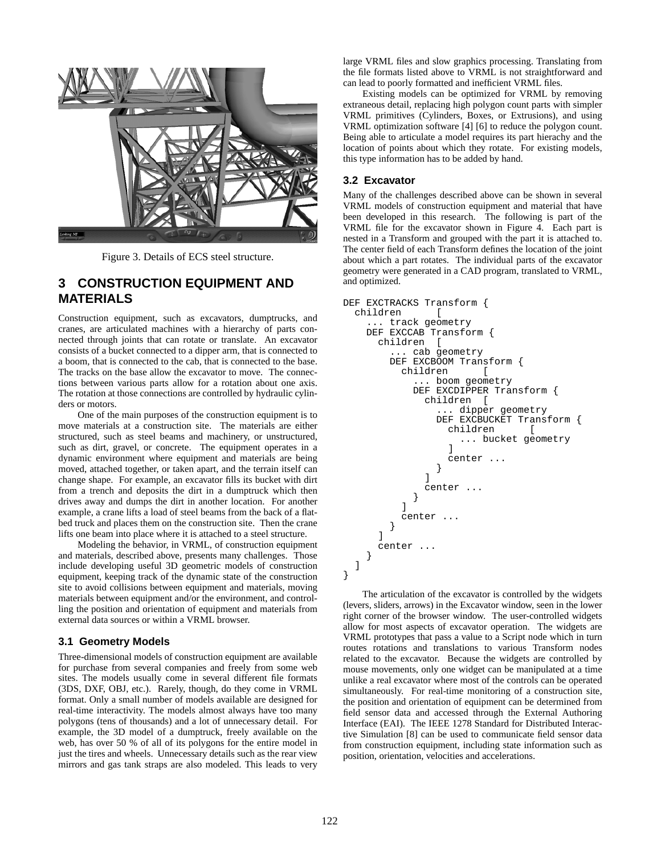

Figure 3. Details of ECS steel structure.

# **3 CONSTRUCTION EQUIPMENT AND MATERIALS**

Construction equipment, such as excavators, dumptrucks, and cranes, are articulated machines with a hierarchy of parts connected through joints that can rotate or translate. An excavator consists of a bucket connected to a dipper arm, that is connected to a boom, that is connected to the cab, that is connected to the base. The tracks on the base allow the excavator to move. The connections between various parts allow for a rotation about one axis. The rotation at those connections are controlled by hydraulic cylinders or motors.

One of the main purposes of the construction equipment is to move materials at a construction site. The materials are either structured, such as steel beams and machinery, or unstructured, such as dirt, gravel, or concrete. The equipment operates in a dynamic environment where equipment and materials are being moved, attached together, or taken apart, and the terrain itself can change shape. For example, an excavator fills its bucket with dirt from a trench and deposits the dirt in a dumptruck which then drives away and dumps the dirt in another location. For another example, a crane lifts a load of steel beams from the back of a flatbed truck and places them on the construction site. Then the crane lifts one beam into place where it is attached to a steel structure.

Modeling the behavior, in VRML, of construction equipment and materials, described above, presents many challenges. Those include developing useful 3D geometric models of construction equipment, keeping track of the dynamic state of the construction site to avoid collisions between equipment and materials, moving materials between equipment and/or the environment, and controlling the position and orientation of equipment and materials from external data sources or within a VRML browser.

### **3.1 Geometry Models**

Three-dimensional models of construction equipment are available for purchase from several companies and freely from some web sites. The models usually come in several different file formats (3DS, DXF, OBJ, etc.). Rarely, though, do they come in VRML format. Only a small number of models available are designed for real-time interactivity. The models almost always have too many polygons (tens of thousands) and a lot of unnecessary detail. For example, the 3D model of a dumptruck, freely available on the web, has over 50 % of all of its polygons for the entire model in just the tires and wheels. Unnecessary details such as the rear view mirrors and gas tank straps are also modeled. This leads to very

large VRML files and slow graphics processing. Translating from the file formats listed above to VRML is not straightforward and can lead to poorly formatted and inefficient VRML files.

Existing models can be optimized for VRML by removing extraneous detail, replacing high polygon count parts with simpler VRML primitives (Cylinders, Boxes, or Extrusions), and using VRML optimization software [4] [6] to reduce the polygon count. Being able to articulate a model requires its part hierachy and the location of points about which they rotate. For existing models, this type information has to be added by hand.

#### **3.2 Excavator**

Many of the challenges described above can be shown in several VRML models of construction equipment and material that have been developed in this research. The following is part of the VRML file for the excavator shown in Figure 4. Each part is nested in a Transform and grouped with the part it is attached to. The center field of each Transform defines the location of the joint about which a part rotates. The individual parts of the excavator geometry were generated in a CAD program, translated to VRML, and optimized.

```
DEF EXCTRACKS Transform {
   children [
        ... track geometry
      DEF EXCCAB Transform {
         children [
              ... cab geometry
            DEF EXCBOOM Transform {
               children [
                  ... boom geometry
                 DEF EXCDIPPER Transform {
                     children [
                        ... dipper geometry
                       DEF EXCBUCKET Transform {
                          children [
                          ... bucket geometry<br>]
\sim 100 \sim 100 \sim 100 \sim 100 \sim 110 \sim 110 \sim 110 \sim 110 \sim 110 \sim 110 \sim 110 \sim 110 \sim 110 \sim 110 \sim 110 \sim 110 \sim 110 \sim 110 \sim 110 \sim 110 \sim 110 \sim 110 \sim 110 \sim 110 \sim 
                          center ...
 }
 ]
                 center ...<br>}
 }
 ]
               center ...
 }
 ]
         center ...
      }
   ]
}
```
The articulation of the excavator is controlled by the widgets (levers, sliders, arrows) in the Excavator window, seen in the lower right corner of the browser window. The user-controlled widgets allow for most aspects of excavator operation. The widgets are VRML prototypes that pass a value to a Script node which in turn routes rotations and translations to various Transform nodes related to the excavator. Because the widgets are controlled by mouse movements, only one widget can be manipulated at a time unlike a real excavator where most of the controls can be operated simultaneously. For real-time monitoring of a construction site, the position and orientation of equipment can be determined from field sensor data and accessed through the External Authoring Interface (EAI). The IEEE 1278 Standard for Distributed Interactive Simulation [8] can be used to communicate field sensor data from construction equipment, including state information such as position, orientation, velocities and accelerations.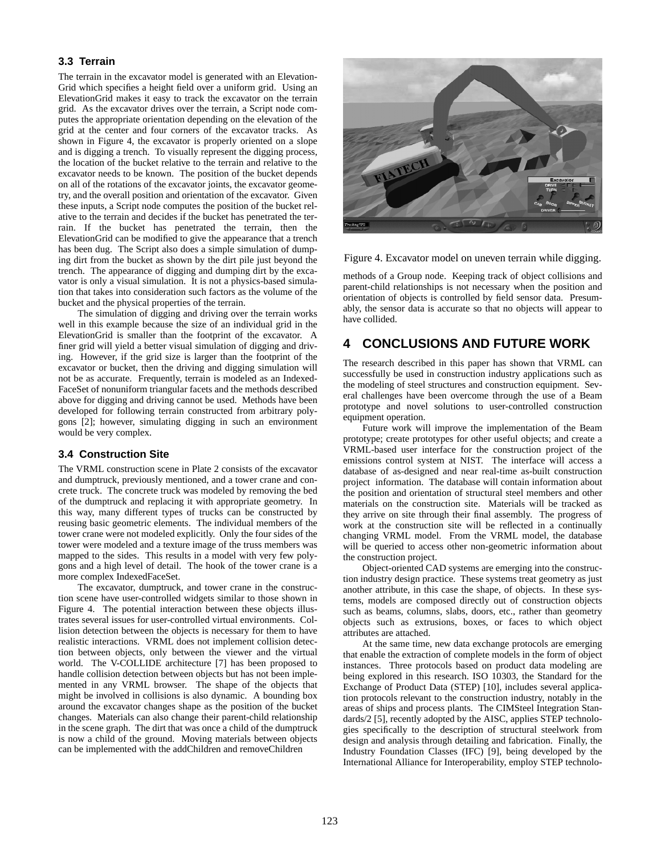### **3.3 Terrain**

The terrain in the excavator model is generated with an Elevation-Grid which specifies a height field over a uniform grid. Using an ElevationGrid makes it easy to track the excavator on the terrain grid. As the excavator drives over the terrain, a Script node computes the appropriate orientation depending on the elevation of the grid at the center and four corners of the excavator tracks. As shown in Figure 4, the excavator is properly oriented on a slope and is digging a trench. To visually represent the digging process, the location of the bucket relative to the terrain and relative to the excavator needs to be known. The position of the bucket depends on all of the rotations of the excavator joints, the excavator geometry, and the overall position and orientation of the excavator. Given these inputs, a Script node computes the position of the bucket relative to the terrain and decides if the bucket has penetrated the terrain. If the bucket has penetrated the terrain, then the ElevationGrid can be modified to give the appearance that a trench has been dug. The Script also does a simple simulation of dumping dirt from the bucket as shown by the dirt pile just beyond the trench. The appearance of digging and dumping dirt by the excavator is only a visual simulation. It is not a physics-based simulation that takes into consideration such factors as the volume of the bucket and the physical properties of the terrain.

The simulation of digging and driving over the terrain works well in this example because the size of an individual grid in the ElevationGrid is smaller than the footprint of the excavator. A finer grid will yield a better visual simulation of digging and driving. However, if the grid size is larger than the footprint of the excavator or bucket, then the driving and digging simulation will not be as accurate. Frequently, terrain is modeled as an Indexed-FaceSet of nonuniform triangular facets and the methods described above for digging and driving cannot be used. Methods have been developed for following terrain constructed from arbitrary polygons [2]; however, simulating digging in such an environment would be very complex.

#### **3.4 Construction Site**

The VRML construction scene in Plate 2 consists of the excavator and dumptruck, previously mentioned, and a tower crane and concrete truck. The concrete truck was modeled by removing the bed of the dumptruck and replacing it with appropriate geometry. In this way, many different types of trucks can be constructed by reusing basic geometric elements. The individual members of the tower crane were not modeled explicitly. Only the four sides of the tower were modeled and a texture image of the truss members was mapped to the sides. This results in a model with very few polygons and a high level of detail. The hook of the tower crane is a more complex IndexedFaceSet.

The excavator, dumptruck, and tower crane in the construction scene have user-controlled widgets similar to those shown in Figure 4. The potential interaction between these objects illustrates several issues for user-controlled virtual environments. Collision detection between the objects is necessary for them to have realistic interactions. VRML does not implement collision detection between objects, only between the viewer and the virtual world. The V-COLLIDE architecture [7] has been proposed to handle collision detection between objects but has not been implemented in any VRML browser. The shape of the objects that might be involved in collisions is also dynamic. A bounding box around the excavator changes shape as the position of the bucket changes. Materials can also change their parent-child relationship in the scene graph. The dirt that was once a child of the dumptruck is now a child of the ground. Moving materials between objects can be implemented with the addChildren and removeChildren



Figure 4. Excavator model on uneven terrain while digging.

methods of a Group node. Keeping track of object collisions and parent-child relationships is not necessary when the position and orientation of objects is controlled by field sensor data. Presumably, the sensor data is accurate so that no objects will appear to have collided.

# **4 CONCLUSIONS AND FUTURE WORK**

The research described in this paper has shown that VRML can successfully be used in construction industry applications such as the modeling of steel structures and construction equipment. Several challenges have been overcome through the use of a Beam prototype and novel solutions to user-controlled construction equipment operation.

Future work will improve the implementation of the Beam prototype; create prototypes for other useful objects; and create a VRML-based user interface for the construction project of the emissions control system at NIST. The interface will access a database of as-designed and near real-time as-built construction project information. The database will contain information about the position and orientation of structural steel members and other materials on the construction site. Materials will be tracked as they arrive on site through their final assembly. The progress of work at the construction site will be reflected in a continually changing VRML model. From the VRML model, the database will be queried to access other non-geometric information about the construction project.

Object-oriented CAD systems are emerging into the construction industry design practice. These systems treat geometry as just another attribute, in this case the shape, of objects. In these systems, models are composed directly out of construction objects such as beams, columns, slabs, doors, etc., rather than geometry objects such as extrusions, boxes, or faces to which object attributes are attached.

At the same time, new data exchange protocols are emerging that enable the extraction of complete models in the form of object instances. Three protocols based on product data modeling are being explored in this research. ISO 10303, the Standard for the Exchange of Product Data (STEP) [10], includes several application protocols relevant to the construction industry, notably in the areas of ships and process plants. The CIMSteel Integration Standards/2 [5], recently adopted by the AISC, applies STEP technologies specifically to the description of structural steelwork from design and analysis through detailing and fabrication. Finally, the Industry Foundation Classes (IFC) [9], being developed by the International Alliance for Interoperability, employ STEP technolo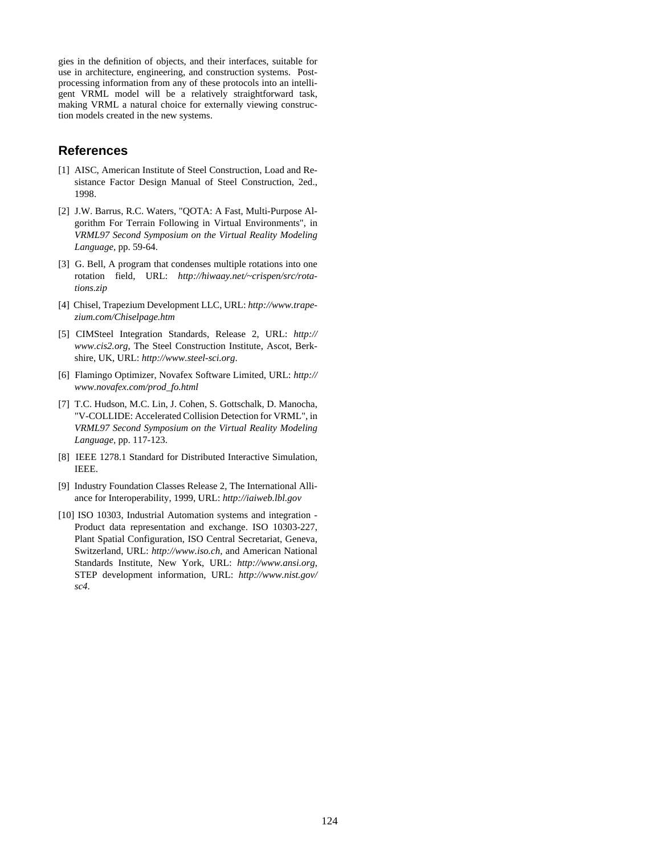gies in the definition of objects, and their interfaces, suitable for use in architecture, engineering, and construction systems. Postprocessing information from any of these protocols into an intelligent VRML model will be a relatively straightforward task, making VRML a natural choice for externally viewing construction models created in the new systems.

### **References**

- [1] AISC, American Institute of Steel Construction, Load and Resistance Factor Design Manual of Steel Construction, 2ed., 1998.
- [2] J.W. Barrus, R.C. Waters, "QOTA: A Fast, Multi-Purpose Algorithm For Terrain Following in Virtual Environments", in *VRML97 Second Symposium on the Virtual Reality Modeling Language,* pp. 59-64.
- [3] G. Bell, A program that condenses multiple rotations into one rotation field, URL: *http://hiwaay.net/~crispen/src/rotations.zip*
- [4] Chisel, Trapezium Development LLC, URL: *http://www.trapezium.com/Chiselpage.htm*
- [5] CIMSteel Integration Standards, Release 2, URL: *http:// www.cis2.org*, The Steel Construction Institute, Ascot, Berkshire, UK, URL: *http://www.steel-sci.org*.
- [6] Flamingo Optimizer, Novafex Software Limited, URL: *http:// www.novafex.com/prod\_fo.html*
- [7] T.C. Hudson, M.C. Lin, J. Cohen, S. Gottschalk, D. Manocha, "V-COLLIDE: Accelerated Collision Detection for VRML", in *VRML97 Second Symposium on the Virtual Reality Modeling Language,* pp. 117-123.
- [8] IEEE 1278.1 Standard for Distributed Interactive Simulation, IEEE.
- [9] Industry Foundation Classes Release 2, The International Alliance for Interoperability, 1999, URL: *http://iaiweb.lbl.gov*
- [10] ISO 10303, Industrial Automation systems and integration -Product data representation and exchange. ISO 10303-227, Plant Spatial Configuration, ISO Central Secretariat, Geneva, Switzerland, URL: *http://www.iso.ch,* and American National Standards Institute, New York, URL: *http://www.ansi.org*, STEP development information, URL: *http://www.nist.gov/ sc4*.